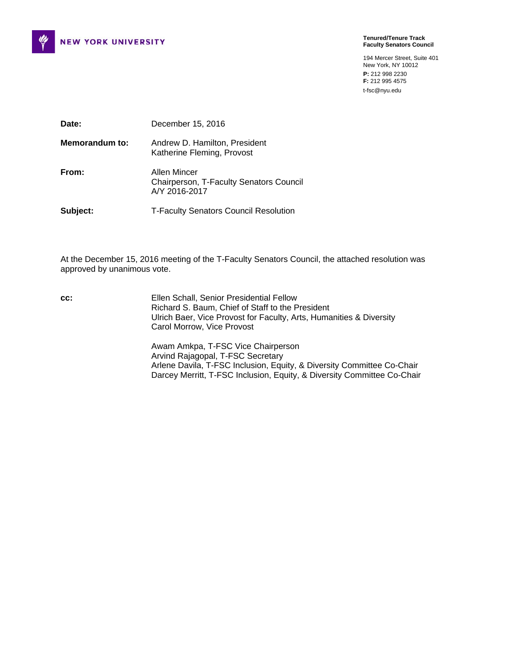

**Tenured/Tenure Track Faculty Senators Council** 

194 Mercer Street, Suite 401 New York, NY 10012 **P:** 212 998 2230 **F:** 212 995 4575 t-fsc@nyu.edu

**Date:** December 15, 2016 **Memorandum to:** Andrew D. Hamilton, President Katherine Fleming, Provost **From:** Allen Mincer Chairperson, T-Faculty Senators Council A/Y 2016-2017 **Subject:** T-Faculty Senators Council Resolution

At the December 15, 2016 meeting of the T-Faculty Senators Council, the attached resolution was approved by unanimous vote.

**cc:** Ellen Schall, Senior Presidential Fellow Richard S. Baum, Chief of Staff to the President Ulrich Baer, Vice Provost for Faculty, Arts, Humanities & Diversity Carol Morrow, Vice Provost

> Awam Amkpa, T-FSC Vice Chairperson Arvind Rajagopal, T-FSC Secretary Arlene Davila, T-FSC Inclusion, Equity, & Diversity Committee Co-Chair Darcey Merritt, T-FSC Inclusion, Equity, & Diversity Committee Co-Chair